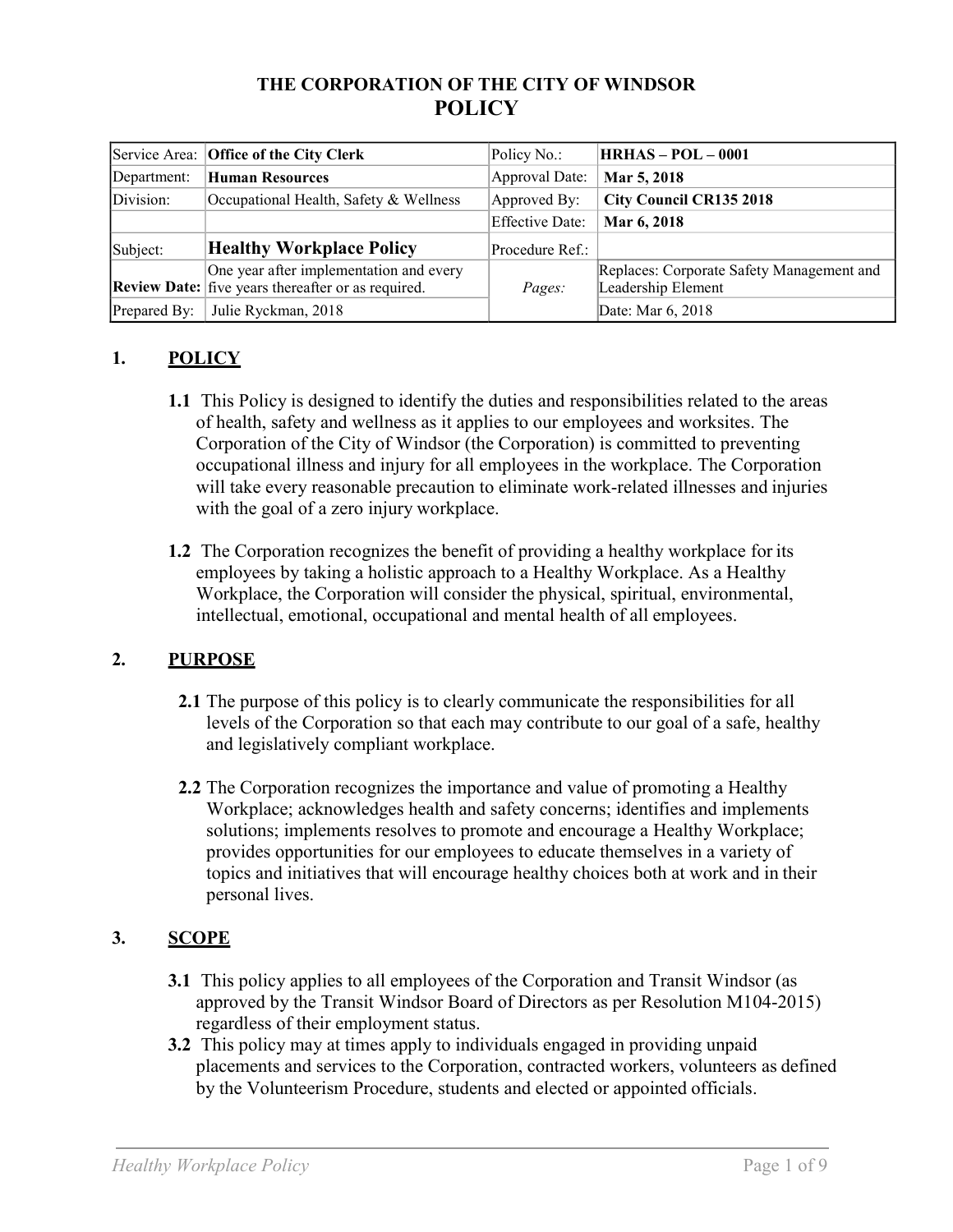## **THE CORPORATION OF THE CITY OF WINDSOR POLICY**

|              | Service Area: Office of the City Clerk                                                        | Policy No.:     | $HRHAS - POL - 0001$                                            |
|--------------|-----------------------------------------------------------------------------------------------|-----------------|-----------------------------------------------------------------|
| Department:  | Human Resources                                                                               | Approval Date:  | Mar 5, 2018                                                     |
| Division:    | Occupational Health, Safety & Wellness                                                        | Approved By:    | <b>City Council CR135 2018</b>                                  |
|              |                                                                                               | Effective Date: | Mar 6, 2018                                                     |
| Subject:     | <b>Healthy Workplace Policy</b>                                                               | Procedure Ref.: |                                                                 |
|              | One year after implementation and every<br>Review Date: five years thereafter or as required. | Pages:          | Replaces: Corporate Safety Management and<br>Leadership Element |
| Prepared By: | Julie Ryckman, 2018                                                                           |                 | Date: Mar 6, 2018                                               |

# **1. POLICY**

- **1.1** This Policy is designed to identify the duties and responsibilities related to the areas of health, safety and wellness as it applies to our employees and worksites. The Corporation of the City of Windsor (the Corporation) is committed to preventing occupational illness and injury for all employees in the workplace. The Corporation will take every reasonable precaution to eliminate work-related illnesses and injuries with the goal of a zero injury workplace.
- **1.2** The Corporation recognizes the benefit of providing a healthy workplace for its employees by taking a holistic approach to a Healthy Workplace. As a Healthy Workplace, the Corporation will consider the physical, spiritual, environmental, intellectual, emotional, occupational and mental health of all employees.

## **2. PURPOSE**

- **2.1** The purpose of this policy is to clearly communicate the responsibilities for all levels of the Corporation so that each may contribute to our goal of a safe, healthy and legislatively compliant workplace.
- **2.2** The Corporation recognizes the importance and value of promoting a Healthy Workplace; acknowledges health and safety concerns; identifies and implements solutions; implements resolves to promote and encourage a Healthy Workplace; provides opportunities for our employees to educate themselves in a variety of topics and initiatives that will encourage healthy choices both at work and in their personal lives.

# **3. SCOPE**

- **3.1** This policy applies to all employees of the Corporation and Transit Windsor (as approved by the Transit Windsor Board of Directors as per Resolution M104-2015) regardless of their employment status.
- **3.2** This policy may at times apply to individuals engaged in providing unpaid placements and services to the Corporation, contracted workers, volunteers as defined by the Volunteerism Procedure, students and elected or appointed officials.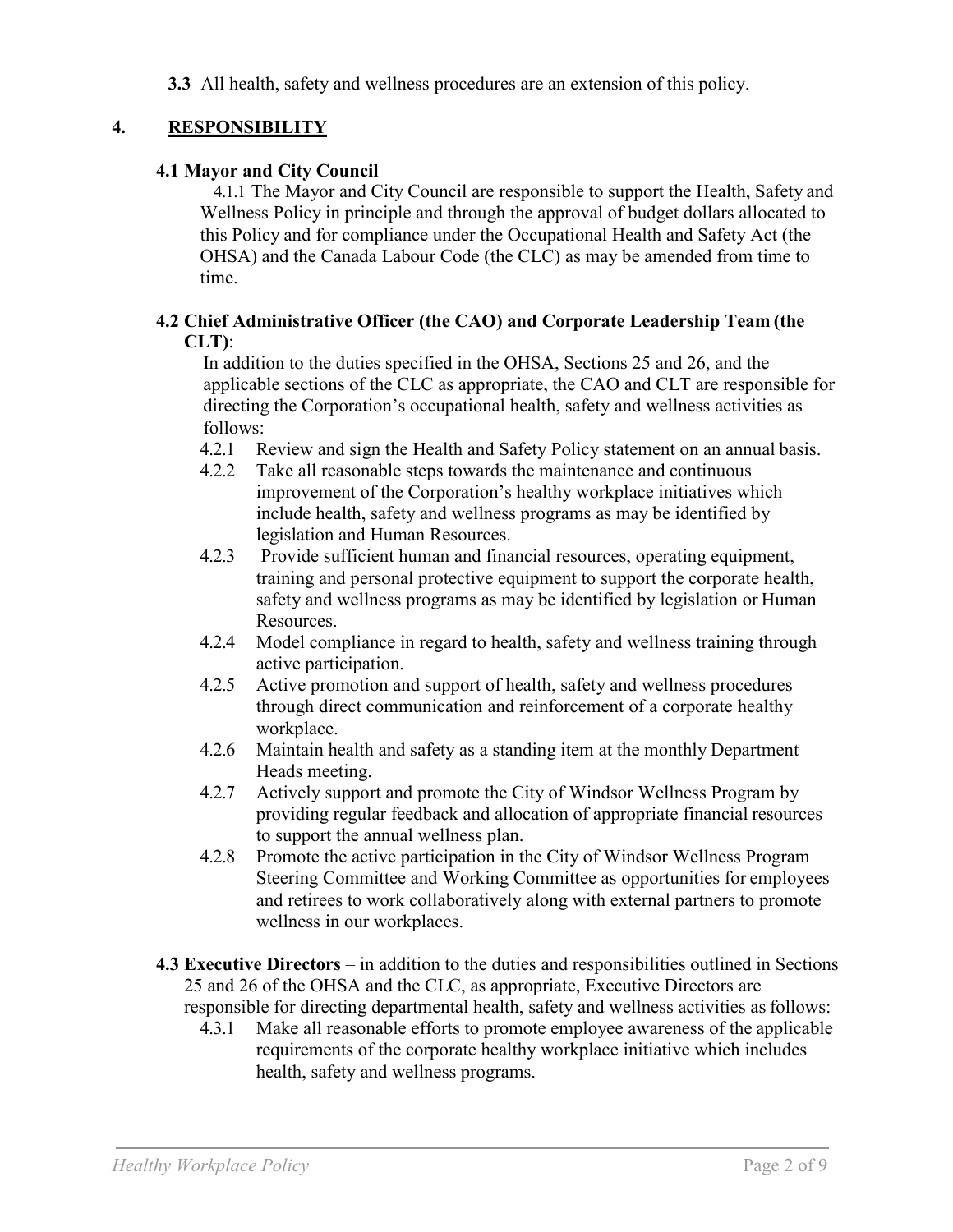**3.3** All health, safety and wellness procedures are an extension of this policy.

### **4. RESPONSIBILITY**

#### **4.1 Mayor and City Council**

4.1.1 The Mayor and City Council are responsible to support the Health, Safety and Wellness Policy in principle and through the approval of budget dollars allocated to this Policy and for compliance under the Occupational Health and Safety Act (the OHSA) and the Canada Labour Code (the CLC) as may be amended from time to time.

#### **4.2 Chief Administrative Officer (the CAO) and Corporate Leadership Team (the CLT)**:

In addition to the duties specified in the OHSA, Sections 25 and 26, and the applicable sections of the CLC as appropriate, the CAO and CLT are responsible for directing the Corporation's occupational health, safety and wellness activities as follows:

- 4.2.1 Review and sign the Health and Safety Policy statement on an annual basis.
- 4.2.2 Take all reasonable steps towards the maintenance and continuous improvement of the Corporation's healthy workplace initiatives which include health, safety and wellness programs as may be identified by legislation and Human Resources.
- 4.2.3 Provide sufficient human and financial resources, operating equipment, training and personal protective equipment to support the corporate health, safety and wellness programs as may be identified by legislation or Human Resources.
- 4.2.4 Model compliance in regard to health, safety and wellness training through active participation.
- 4.2.5 Active promotion and support of health, safety and wellness procedures through direct communication and reinforcement of a corporate healthy workplace.
- 4.2.6 Maintain health and safety as a standing item at the monthly Department Heads meeting.
- 4.2.7 Actively support and promote the City of Windsor Wellness Program by providing regular feedback and allocation of appropriate financial resources to support the annual wellness plan.
- 4.2.8 Promote the active participation in the City of Windsor Wellness Program Steering Committee and Working Committee as opportunities for employees and retirees to work collaboratively along with external partners to promote wellness in our workplaces.
- **4.3 Executive Directors**  in addition to the duties and responsibilities outlined in Sections 25 and 26 of the OHSA and the CLC, as appropriate, Executive Directors are responsible for directing departmental health, safety and wellness activities as follows:
	- 4.3.1 Make all reasonable efforts to promote employee awareness of the applicable requirements of the corporate healthy workplace initiative which includes health, safety and wellness programs.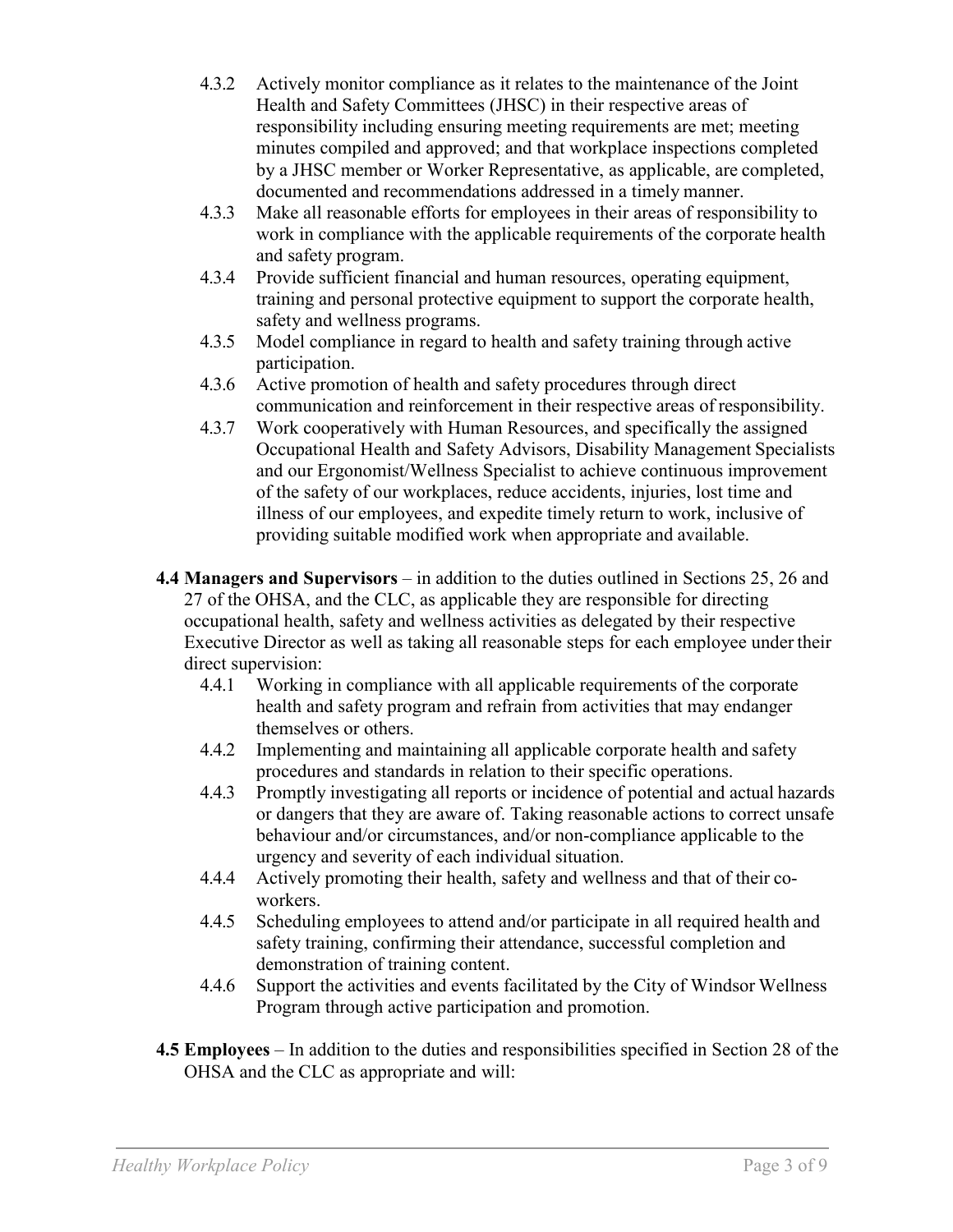- 4.3.2 Actively monitor compliance as it relates to the maintenance of the Joint Health and Safety Committees (JHSC) in their respective areas of responsibility including ensuring meeting requirements are met; meeting minutes compiled and approved; and that workplace inspections completed by a JHSC member or Worker Representative, as applicable, are completed, documented and recommendations addressed in a timely manner.
- 4.3.3 Make all reasonable efforts for employees in their areas of responsibility to work in compliance with the applicable requirements of the corporate health and safety program.
- 4.3.4 Provide sufficient financial and human resources, operating equipment, training and personal protective equipment to support the corporate health, safety and wellness programs.
- 4.3.5 Model compliance in regard to health and safety training through active participation.
- 4.3.6 Active promotion of health and safety procedures through direct communication and reinforcement in their respective areas of responsibility.
- 4.3.7 Work cooperatively with Human Resources, and specifically the assigned Occupational Health and Safety Advisors, Disability Management Specialists and our Ergonomist/Wellness Specialist to achieve continuous improvement of the safety of our workplaces, reduce accidents, injuries, lost time and illness of our employees, and expedite timely return to work, inclusive of providing suitable modified work when appropriate and available.
- **4.4 Managers and Supervisors**  in addition to the duties outlined in Sections 25, 26 and 27 of the OHSA, and the CLC, as applicable they are responsible for directing occupational health, safety and wellness activities as delegated by their respective Executive Director as well as taking all reasonable steps for each employee under their direct supervision:
	- 4.4.1 Working in compliance with all applicable requirements of the corporate health and safety program and refrain from activities that may endanger themselves or others.
	- 4.4.2 Implementing and maintaining all applicable corporate health and safety procedures and standards in relation to their specific operations.
	- 4.4.3 Promptly investigating all reports or incidence of potential and actual hazards or dangers that they are aware of. Taking reasonable actions to correct unsafe behaviour and/or circumstances, and/or non-compliance applicable to the urgency and severity of each individual situation.
	- 4.4.4 Actively promoting their health, safety and wellness and that of their coworkers.
	- 4.4.5 Scheduling employees to attend and/or participate in all required health and safety training, confirming their attendance, successful completion and demonstration of training content.
	- 4.4.6 Support the activities and events facilitated by the City of Windsor Wellness Program through active participation and promotion.
- **4.5 Employees**  In addition to the duties and responsibilities specified in Section 28 of the OHSA and the CLC as appropriate and will: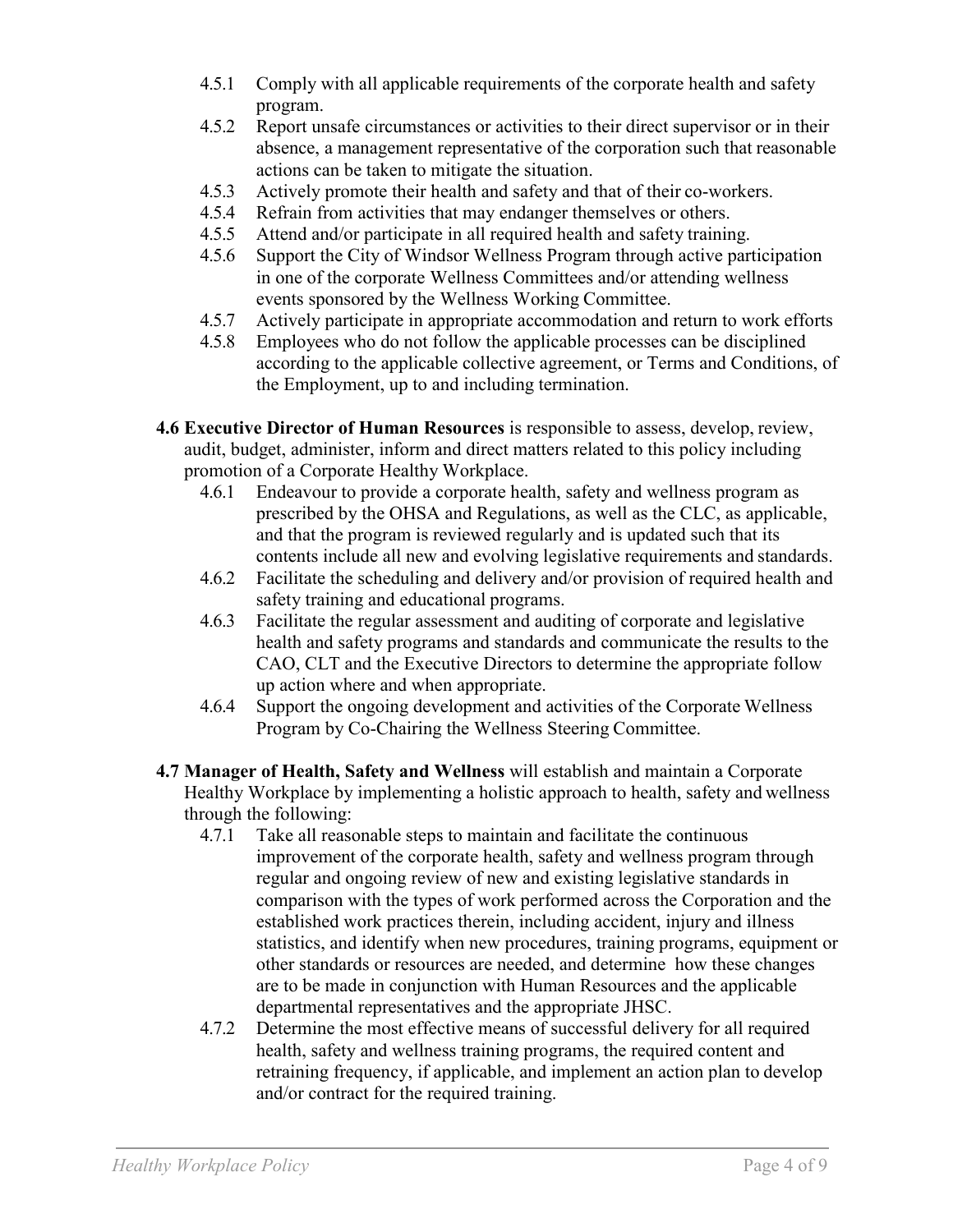- 4.5.1 Comply with all applicable requirements of the corporate health and safety program.
- 4.5.2 Report unsafe circumstances or activities to their direct supervisor or in their absence, a management representative of the corporation such that reasonable actions can be taken to mitigate the situation.
- 4.5.3 Actively promote their health and safety and that of their co-workers.
- 4.5.4 Refrain from activities that may endanger themselves or others.
- 4.5.5 Attend and/or participate in all required health and safety training.
- 4.5.6 Support the City of Windsor Wellness Program through active participation in one of the corporate Wellness Committees and/or attending wellness events sponsored by the Wellness Working Committee.
- 4.5.7 Actively participate in appropriate accommodation and return to work efforts
- 4.5.8 Employees who do not follow the applicable processes can be disciplined according to the applicable collective agreement, or Terms and Conditions, of the Employment, up to and including termination.
- **4.6 Executive Director of Human Resources** is responsible to assess, develop, review, audit, budget, administer, inform and direct matters related to this policy including promotion of a Corporate Healthy Workplace.
	- 4.6.1 Endeavour to provide a corporate health, safety and wellness program as prescribed by the OHSA and Regulations, as well as the CLC, as applicable, and that the program is reviewed regularly and is updated such that its contents include all new and evolving legislative requirements and standards.
	- 4.6.2 Facilitate the scheduling and delivery and/or provision of required health and safety training and educational programs.
	- 4.6.3 Facilitate the regular assessment and auditing of corporate and legislative health and safety programs and standards and communicate the results to the CAO, CLT and the Executive Directors to determine the appropriate follow up action where and when appropriate.
	- 4.6.4 Support the ongoing development and activities of the Corporate Wellness Program by Co-Chairing the Wellness Steering Committee.
- **4.7 Manager of Health, Safety and Wellness** will establish and maintain a Corporate Healthy Workplace by implementing a holistic approach to health, safety and wellness through the following:
	- 4.7.1 Take all reasonable steps to maintain and facilitate the continuous improvement of the corporate health, safety and wellness program through regular and ongoing review of new and existing legislative standards in comparison with the types of work performed across the Corporation and the established work practices therein, including accident, injury and illness statistics, and identify when new procedures, training programs, equipment or other standards or resources are needed, and determine how these changes are to be made in conjunction with Human Resources and the applicable departmental representatives and the appropriate JHSC.
	- 4.7.2 Determine the most effective means of successful delivery for all required health, safety and wellness training programs, the required content and retraining frequency, if applicable, and implement an action plan to develop and/or contract for the required training.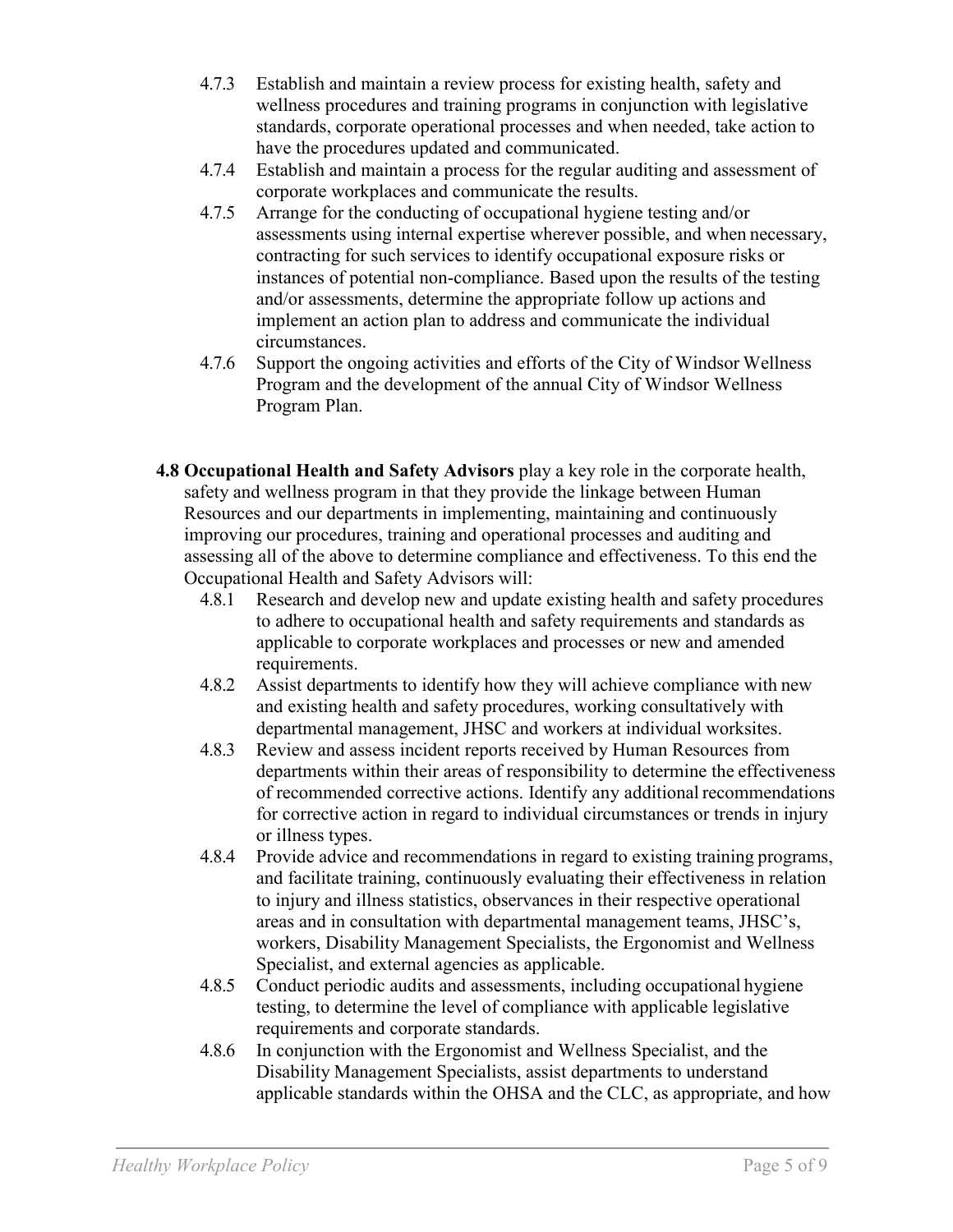- 4.7.3 Establish and maintain a review process for existing health, safety and wellness procedures and training programs in conjunction with legislative standards, corporate operational processes and when needed, take action to have the procedures updated and communicated.
- 4.7.4 Establish and maintain a process for the regular auditing and assessment of corporate workplaces and communicate the results.
- 4.7.5 Arrange for the conducting of occupational hygiene testing and/or assessments using internal expertise wherever possible, and when necessary, contracting for such services to identify occupational exposure risks or instances of potential non-compliance. Based upon the results of the testing and/or assessments, determine the appropriate follow up actions and implement an action plan to address and communicate the individual circumstances.
- 4.7.6 Support the ongoing activities and efforts of the City of Windsor Wellness Program and the development of the annual City of Windsor Wellness Program Plan.
- **4.8 Occupational Health and Safety Advisors** play a key role in the corporate health, safety and wellness program in that they provide the linkage between Human Resources and our departments in implementing, maintaining and continuously improving our procedures, training and operational processes and auditing and assessing all of the above to determine compliance and effectiveness. To this end the Occupational Health and Safety Advisors will:
	- 4.8.1 Research and develop new and update existing health and safety procedures to adhere to occupational health and safety requirements and standards as applicable to corporate workplaces and processes or new and amended requirements.
	- 4.8.2 Assist departments to identify how they will achieve compliance with new and existing health and safety procedures, working consultatively with departmental management, JHSC and workers at individual worksites.
	- 4.8.3 Review and assess incident reports received by Human Resources from departments within their areas of responsibility to determine the effectiveness of recommended corrective actions. Identify any additional recommendations for corrective action in regard to individual circumstances or trends in injury or illness types.
	- 4.8.4 Provide advice and recommendations in regard to existing training programs, and facilitate training, continuously evaluating their effectiveness in relation to injury and illness statistics, observances in their respective operational areas and in consultation with departmental management teams, JHSC's, workers, Disability Management Specialists, the Ergonomist and Wellness Specialist, and external agencies as applicable.
	- 4.8.5 Conduct periodic audits and assessments, including occupational hygiene testing, to determine the level of compliance with applicable legislative requirements and corporate standards.
	- 4.8.6 In conjunction with the Ergonomist and Wellness Specialist, and the Disability Management Specialists, assist departments to understand applicable standards within the OHSA and the CLC, as appropriate, and how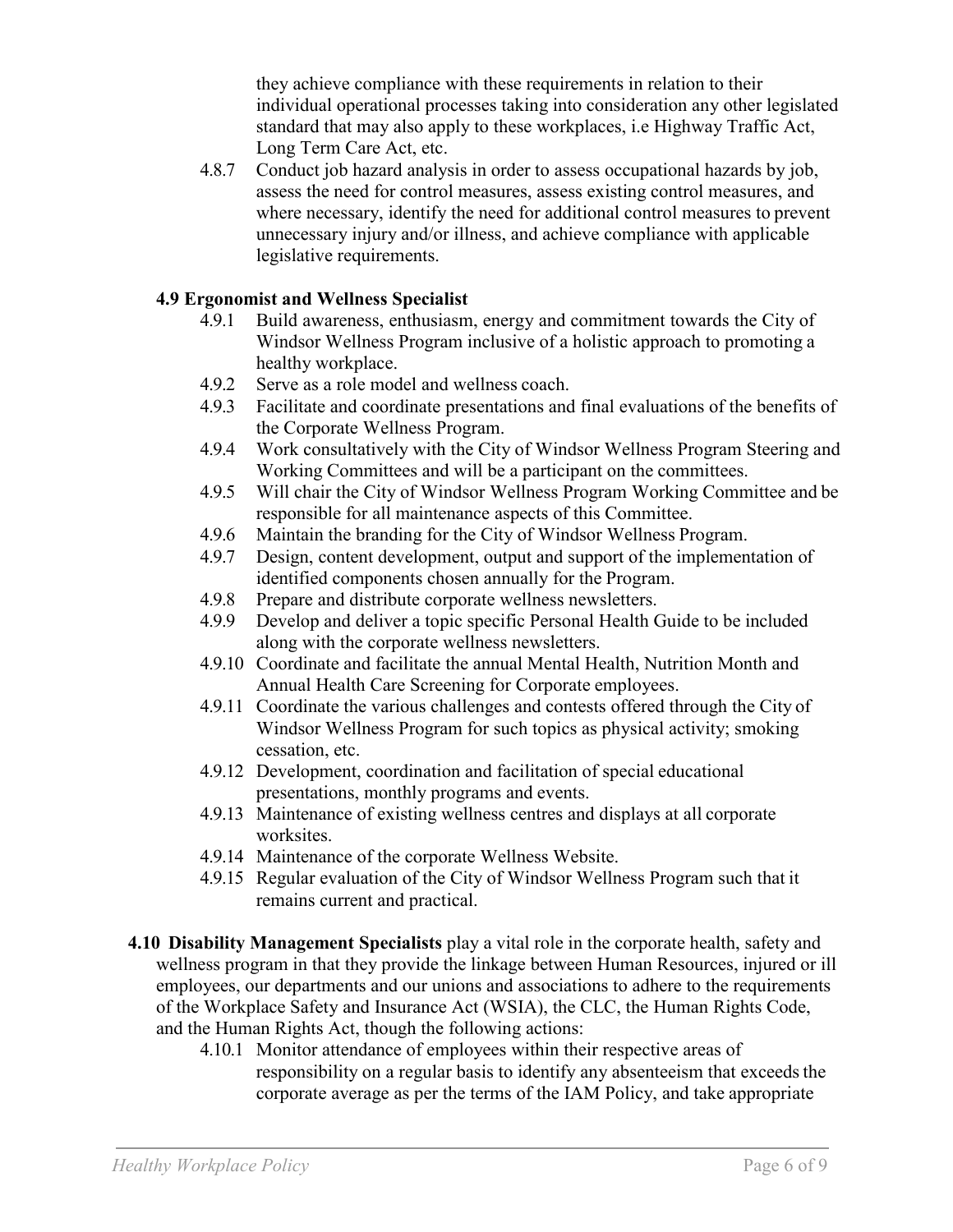they achieve compliance with these requirements in relation to their individual operational processes taking into consideration any other legislated standard that may also apply to these workplaces, i.e Highway Traffic Act, Long Term Care Act, etc.

4.8.7 Conduct job hazard analysis in order to assess occupational hazards by job, assess the need for control measures, assess existing control measures, and where necessary, identify the need for additional control measures to prevent unnecessary injury and/or illness, and achieve compliance with applicable legislative requirements.

#### **4.9 Ergonomist and Wellness Specialist**

- 4.9.1 Build awareness, enthusiasm, energy and commitment towards the City of Windsor Wellness Program inclusive of a holistic approach to promoting a healthy workplace.
- 4.9.2 Serve as a role model and wellness coach.
- 4.9.3 Facilitate and coordinate presentations and final evaluations of the benefits of the Corporate Wellness Program.
- 4.9.4 Work consultatively with the City of Windsor Wellness Program Steering and Working Committees and will be a participant on the committees.
- 4.9.5 Will chair the City of Windsor Wellness Program Working Committee and be responsible for all maintenance aspects of this Committee.
- 4.9.6 Maintain the branding for the City of Windsor Wellness Program.
- 4.9.7 Design, content development, output and support of the implementation of identified components chosen annually for the Program.
- 4.9.8 Prepare and distribute corporate wellness newsletters.
- 4.9.9 Develop and deliver a topic specific Personal Health Guide to be included along with the corporate wellness newsletters.
- 4.9.10 Coordinate and facilitate the annual Mental Health, Nutrition Month and Annual Health Care Screening for Corporate employees.
- 4.9.11 Coordinate the various challenges and contests offered through the City of Windsor Wellness Program for such topics as physical activity; smoking cessation, etc.
- 4.9.12 Development, coordination and facilitation of special educational presentations, monthly programs and events.
- 4.9.13 Maintenance of existing wellness centres and displays at all corporate worksites.
- 4.9.14 Maintenance of the corporate Wellness Website.
- 4.9.15 Regular evaluation of the City of Windsor Wellness Program such that it remains current and practical.
- **4.10 Disability Management Specialists** play a vital role in the corporate health, safety and wellness program in that they provide the linkage between Human Resources, injured or ill employees, our departments and our unions and associations to adhere to the requirements of the Workplace Safety and Insurance Act (WSIA), the CLC, the Human Rights Code, and the Human Rights Act, though the following actions:
	- 4.10.1 Monitor attendance of employees within their respective areas of responsibility on a regular basis to identify any absenteeism that exceeds the corporate average as per the terms of the IAM Policy, and take appropriate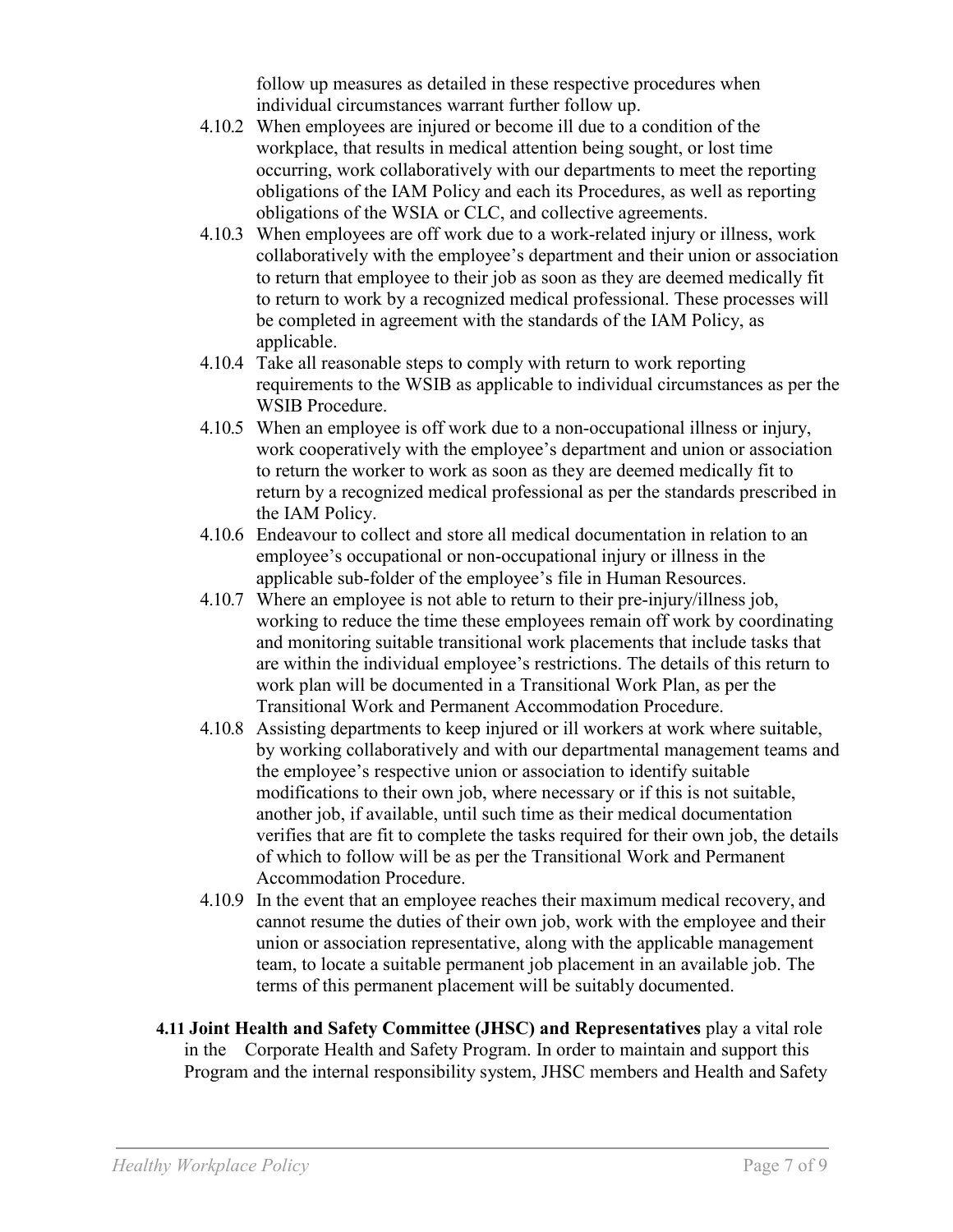follow up measures as detailed in these respective procedures when individual circumstances warrant further follow up.

- 4.10.2 When employees are injured or become ill due to a condition of the workplace, that results in medical attention being sought, or lost time occurring, work collaboratively with our departments to meet the reporting obligations of the IAM Policy and each its Procedures, as well as reporting obligations of the WSIA or CLC, and collective agreements.
- 4.10.3 When employees are off work due to a work-related injury or illness, work collaboratively with the employee's department and their union or association to return that employee to their job as soon as they are deemed medically fit to return to work by a recognized medical professional. These processes will be completed in agreement with the standards of the IAM Policy, as applicable.
- 4.10.4 Take all reasonable steps to comply with return to work reporting requirements to the WSIB as applicable to individual circumstances as per the WSIB Procedure.
- 4.10.5 When an employee is off work due to a non-occupational illness or injury, work cooperatively with the employee's department and union or association to return the worker to work as soon as they are deemed medically fit to return by a recognized medical professional as per the standards prescribed in the IAM Policy.
- 4.10.6 Endeavour to collect and store all medical documentation in relation to an employee's occupational or non-occupational injury or illness in the applicable sub-folder of the employee's file in Human Resources.
- 4.10.7 Where an employee is not able to return to their pre-injury/illness job, working to reduce the time these employees remain off work by coordinating and monitoring suitable transitional work placements that include tasks that are within the individual employee's restrictions. The details of this return to work plan will be documented in a Transitional Work Plan, as per the Transitional Work and Permanent Accommodation Procedure.
- 4.10.8 Assisting departments to keep injured or ill workers at work where suitable, by working collaboratively and with our departmental management teams and the employee's respective union or association to identify suitable modifications to their own job, where necessary or if this is not suitable, another job, if available, until such time as their medical documentation verifies that are fit to complete the tasks required for their own job, the details of which to follow will be as per the Transitional Work and Permanent Accommodation Procedure.
- 4.10.9 In the event that an employee reaches their maximum medical recovery, and cannot resume the duties of their own job, work with the employee and their union or association representative, along with the applicable management team, to locate a suitable permanent job placement in an available job. The terms of this permanent placement will be suitably documented.
- **4.11 Joint Health and Safety Committee (JHSC) and Representatives** play a vital role in the Corporate Health and Safety Program. In order to maintain and support this Program and the internal responsibility system, JHSC members and Health and Safety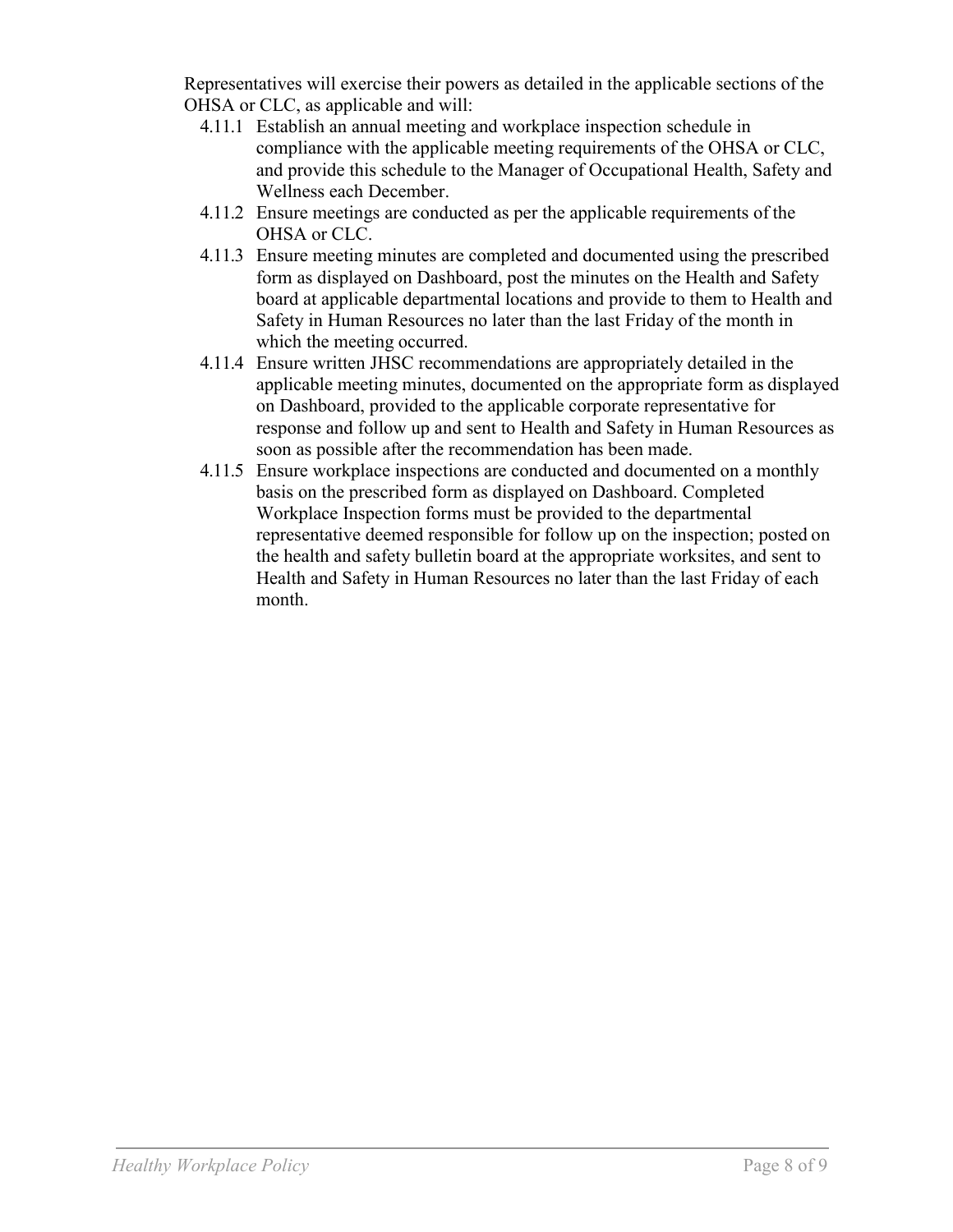Representatives will exercise their powers as detailed in the applicable sections of the OHSA or CLC, as applicable and will:

- 4.11.1 Establish an annual meeting and workplace inspection schedule in compliance with the applicable meeting requirements of the OHSA or CLC, and provide this schedule to the Manager of Occupational Health, Safety and Wellness each December.
- 4.11.2 Ensure meetings are conducted as per the applicable requirements of the OHSA or CLC.
- 4.11.3 Ensure meeting minutes are completed and documented using the prescribed form as displayed on Dashboard, post the minutes on the Health and Safety board at applicable departmental locations and provide to them to Health and Safety in Human Resources no later than the last Friday of the month in which the meeting occurred.
- 4.11.4 Ensure written JHSC recommendations are appropriately detailed in the applicable meeting minutes, documented on the appropriate form as displayed on Dashboard, provided to the applicable corporate representative for response and follow up and sent to Health and Safety in Human Resources as soon as possible after the recommendation has been made.
- 4.11.5 Ensure workplace inspections are conducted and documented on a monthly basis on the prescribed form as displayed on Dashboard. Completed Workplace Inspection forms must be provided to the departmental representative deemed responsible for follow up on the inspection; posted on the health and safety bulletin board at the appropriate worksites, and sent to Health and Safety in Human Resources no later than the last Friday of each month.